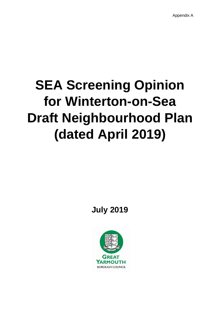# **SEA Screening Opinion for Winterton-on-Sea Draft Neighbourhood Plan (dated April 2019)**

**July 2019**

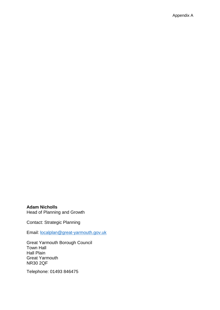**Adam Nicholls**  Head of Planning and Growth

Contact: Strategic Planning

Email: [localplan@great-yarmouth.gov.uk](mailto:localplan@great-yarmouth.gov.uk)

Great Yarmouth Borough Council Town Hall Hall Plain Great Yarmouth NR30 2QF

Telephone: 01493 846475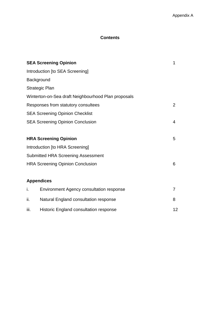# **Contents**

| <b>SEA Screening Opinion</b>            |                                                     |                |  |  |
|-----------------------------------------|-----------------------------------------------------|----------------|--|--|
|                                         | Introduction [to SEA Screening]                     |                |  |  |
|                                         | Background                                          |                |  |  |
|                                         | <b>Strategic Plan</b>                               |                |  |  |
|                                         | Winterton-on-Sea draft Neighbourhood Plan proposals |                |  |  |
|                                         | Responses from statutory consultees                 | $\overline{2}$ |  |  |
|                                         | <b>SEA Screening Opinion Checklist</b>              |                |  |  |
| <b>SEA Screening Opinion Conclusion</b> |                                                     |                |  |  |
|                                         |                                                     |                |  |  |
| <b>HRA Screening Opinion</b>            |                                                     |                |  |  |
|                                         | Introduction [to HRA Screening]                     |                |  |  |
|                                         | <b>Submitted HRA Screening Assessment</b>           |                |  |  |
| <b>HRA Screening Opinion Conclusion</b> |                                                     |                |  |  |
|                                         |                                                     |                |  |  |
|                                         | <b>Appendices</b>                                   |                |  |  |
| i.                                      | <b>Environment Agency consultation response</b>     | 7              |  |  |
| ii.                                     | Natural England consultation response               | 8              |  |  |
| iii.                                    | Historic England consultation response              | 12             |  |  |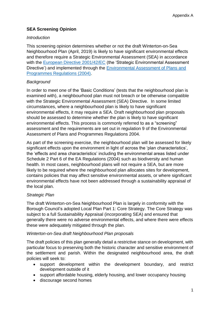# **SEA Screening Opinion**

#### *Introduction*

This screening opinion determines whether or not the draft Winterton-on-Sea Neighbourhood Plan (April, 2019) is likely to have significant environmental effects and therefore require a Strategic Environmental Assessment (SEA) in accordance with the [European Directive 2001/42/EC](https://eur-lex.europa.eu/legal-content/EN/ALL/?uri=CELEX:32001L0042) (the 'Strategic Environmental Assessment Directive') and implemented through the [Environmental Assessment of Plans and](http://www.legislation.gov.uk/uksi/2004/1633/contents/made)  [Programmes Regulations \(2004\).](http://www.legislation.gov.uk/uksi/2004/1633/contents/made)

### *Background*

In order to meet one of the 'Basic Conditions' (tests that the neighbourhood plan is examined with), a neighbourhood plan must not breach or be otherwise compatible with the Strategic Environmental Assessment (SEA) Directive. In some limited circumstances, where a neighbourhood plan is likely to have significant environmental effects, it may require a SEA. Draft neighbourhood plan proposals should be assessed to determine whether the plan is likely to have significant environmental effects. This process is commonly referred to as a "screening" assessment and the requirements are set out in regulation 9 of the Environmental Assessment of Plans and Programmes Regulations 2004.

As part of the screening exercise, the neighbourhood plan will be assessed for likely significant effects upon the environment in light of across the 'plan characteristics', the 'effects and area characteristics' including the environmental areas listed under Schedule 2 Part 6 of the EA Regulations (2004) such as biodiversity and human health. In most cases, neighbourhood plans will not require a SEA, but are more likely to be required where the neighbourhood plan allocates sites for development, contains policies that may affect sensitive environmental assets, or where significant environmental effects have not been addressed through a sustainability appraisal of the local plan.

## *Strategic Plan*

The draft Winterton-on-Sea Neighbourhood Plan is largely in conformity with the Borough Council's adopted Local Plan Part 1: Core Strategy. The Core Strategy was subject to a full Sustainability Appraisal (incorporating SEA) and ensured that generally there were no adverse environmental effects, and where there were effects these were adequately mitigated through the plan.

#### *Winterton-on-Sea draft Neighbourhood Plan proposals*

The draft policies of this plan generally detail a restrictive stance on development, with particular focus to preserving both the historic character and sensitive environment of the settlement and parish. Within the designated neighbourhood area, the draft policies will seek to:

- support development within the development boundary, and restrict development outside of it
- support affordable housing, elderly housing, and lower occupancy housing
- discourage second homes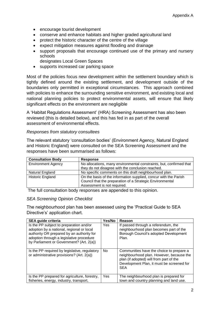- encourage tourist development
- conserve and enhance habitats and higher graded agricultural land
- protect the historic character of the centre of the village
- expect mitigation measures against flooding and drainage
- support proposals that encourage continued use of the primary and nursery schools
	- designates Local Green Spaces
- supports increased car parking space

Most of the policies focus new development within the settlement boundary which is tightly defined around the existing settlement, and development outside of the boundaries only permitted in exceptional circumstances. This approach combined with policies to enhance the surrounding sensitive environment, and existing local and national planning policies to protect environmental assets, will ensure that likely significant effects on the environment are negligible

A 'Habitat Regulations Assessment' (HRA) Screening Assessment has also been reviewed (this is detailed below), and this has fed in as part of the overall assessment of environmental effects.

#### *Responses from statutory consultees*

The relevant statutory 'consultation bodies' (Environment Agency, Natural England and Historic England) were consulted on the SEA Screening Assessment and the responses have been summarised as follows:

| <b>Consultation Body</b>  | <b>Response</b>                                                     |  |  |  |
|---------------------------|---------------------------------------------------------------------|--|--|--|
| <b>Environment Agency</b> | No allocations, many environmental constraints, but, confirmed that |  |  |  |
|                           | they do not disagree with the conclusion reached.                   |  |  |  |
| Natural England           | No specific comments on this draft neighbourhood plan.              |  |  |  |
| <b>Historic England</b>   | On the basis of the information supplied, concur with the Parish    |  |  |  |
|                           | Council that the preparation of a Strategic Environmental           |  |  |  |
|                           | Assessment is not required.                                         |  |  |  |

The full consultation body responses are appended to this opinion.

#### *SEA Screening Opinion Checklist*

The neighbourhood plan has been assessed using the 'Practical Guide to SEA Directive's' application chart.

| <b>SEA guide criteria</b>                                                                                                                                                                                                 | Yes/No | Reason                                                                                                                                                                                     |
|---------------------------------------------------------------------------------------------------------------------------------------------------------------------------------------------------------------------------|--------|--------------------------------------------------------------------------------------------------------------------------------------------------------------------------------------------|
| Is the PP subject to preparation and/or<br>adoption by a national, regional or local<br>authority OR prepared by an authority for<br>adoption through a legislative procedure<br>by Parliament or Government? (Art. 2(a)) | Yes    | If passed through a referendum, the<br>neighbourhood plan becomes part of the<br>Borough Council's adopted Development<br>Plan.                                                            |
| Is the PP required by legislative, regulatory<br>or administrative provisions? (Art. 2(a))                                                                                                                                | No.    | Communities have the choice to prepare a<br>neighbourhood plan. However, because the<br>plan (if adopted) will from part of the<br>Development Plan, it must be screened for<br><b>SEA</b> |
| Is the PP prepared for agriculture, forestry,<br>fisheries, energy, industry, transport,                                                                                                                                  | Yes.   | The neighbourhood plan is prepared for<br>town and country planning and land use.                                                                                                          |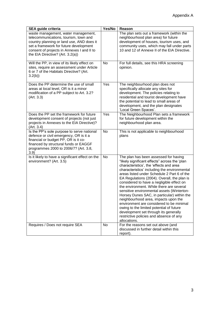| <b>SEA guide criteria</b>                                                                                                                                                                                                                             | Yes/No    | Reason                                                                                                                                                                                                                                                                                                                                                                                                                                                                                                                                                                                                                                                                                                    |
|-------------------------------------------------------------------------------------------------------------------------------------------------------------------------------------------------------------------------------------------------------|-----------|-----------------------------------------------------------------------------------------------------------------------------------------------------------------------------------------------------------------------------------------------------------------------------------------------------------------------------------------------------------------------------------------------------------------------------------------------------------------------------------------------------------------------------------------------------------------------------------------------------------------------------------------------------------------------------------------------------------|
| waste management, water management,<br>telecommunications, tourism, town and<br>country planning or land use, AND does it<br>set a framework for future development<br>consent of projects in Annexes I and II to<br>the EIA Directive? (Art. 3.2(a)) |           | The plan sets out a framework (within the<br>neighbourhood plan area) for future<br>development of houses, tourism uses, and<br>community uses, which may fall under parts<br>10 and 12 of Annexe II of the EIA Directive.                                                                                                                                                                                                                                                                                                                                                                                                                                                                                |
| Will the PP, in view of its likely effect on<br>sites, require an assessment under Article<br>6 or 7 of the Habitats Directive? (Art.<br>3.2(b)                                                                                                       | <b>No</b> | For full details, see this HRA screening<br>opinion.                                                                                                                                                                                                                                                                                                                                                                                                                                                                                                                                                                                                                                                      |
| Does the PP determine the use of small<br>areas at local level, OR is it a minor<br>modification of a PP subject to Art. 3.2?<br>(Art. 3.3)                                                                                                           | Yes       | The neighbourhood plan does not<br>specifically allocate any sites for<br>development. The policies relating to<br>residential and tourist development have<br>the potential to lead to small areas of<br>development, and the plan designates<br>'Local Green Spaces'.                                                                                                                                                                                                                                                                                                                                                                                                                                   |
| Does the PP set the framework for future<br>development consent of projects (not just<br>projects in Annexes to the EIA Directive)?<br>(Art. 3.4)                                                                                                     | Yes       | The Neighbourhood Plan sets a framework<br>for future development within the<br>neighbourhood plan area.                                                                                                                                                                                                                                                                                                                                                                                                                                                                                                                                                                                                  |
| Is the PP's sole purpose to serve national<br>defence or civil emergency, OR is it a<br>financial or budget PP, OR is it co-<br>financed by structural funds or EAGGF<br>programmes 2000 to 2006/7? (Art. 3.8,<br>3.9)                                | No        | This is not applicable to neighbourhood<br>plans                                                                                                                                                                                                                                                                                                                                                                                                                                                                                                                                                                                                                                                          |
| Is it likely to have a significant effect on the<br>environment? (Art. 3.5)                                                                                                                                                                           | No        | The plan has been assessed for having<br>"likely significant effects" across the 'plan<br>characteristics', the 'effects and area<br>characteristics' including the environmental<br>areas listed under Schedule 2 Part 6 of the<br>EA Regulations (2004). Overall, the plan is<br>considered to have a negligible effect on<br>the environment. While there are several<br>sensitive environmental assets (Winterton-<br>Horsey Dunes SAC, in particular) within the<br>neighbourhood area, impacts upon the<br>environment are considered to be minimal<br>owing to the limited potential of future<br>development set through its generally<br>restrictive policies and absence of any<br>allocations. |
| Requires / Does not require SEA                                                                                                                                                                                                                       | <b>No</b> | For the reasons set out above (and<br>discussed in further detail within this<br>report).                                                                                                                                                                                                                                                                                                                                                                                                                                                                                                                                                                                                                 |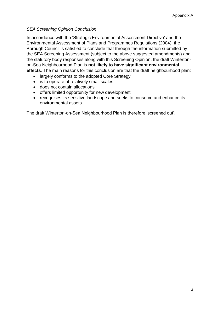## *SEA Screening Opinion Conclusion*

In accordance with the 'Strategic Environmental Assessment Directive' and the Environmental Assessment of Plans and Programmes Regulations (2004), the Borough Council is satisfied to conclude that through the information submitted by the SEA Screening Assessment (subject to the above suggested amendments) and the statutory body responses along with this Screening Opinion, the draft Wintertonon-Sea Neighbourhood Plan is **not likely to have significant environmental effects**. The main reasons for this conclusion are that the draft neighbourhood plan:

- largely conforms to the adopted Core Strategy
- is to operate at relatively small scales
- does not contain allocations
- offers limited opportunity for new development
- recognises its sensitive landscape and seeks to conserve and enhance its environmental assets.

The draft Winterton-on-Sea Neighbourhood Plan is therefore 'screened out'.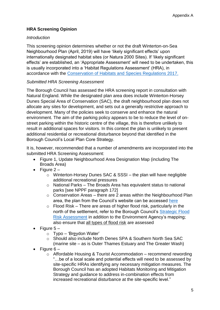# **HRA Screening Opinion**

#### *Introduction*

This screening opinion determines whether or not the draft Winterton-on-Sea Neighbourhood Plan (April, 2019) will have 'likely significant effects' upon internationally designated habitat sites (or Natura 2000 Sites). If 'likely significant effects' are established, an 'Appropriate Assessment' will need to be undertaken, this is usually incorporated into a 'Habitat Regulations Assessment' (HRA), in accordance with the Conservation of [Habitats and Species Regulations 2017.](http://www.legislation.gov.uk/uksi/2017/1012/contents/made)

## *Submitted HRA Screening Assessment*

The Borough Council has assessed the HRA screening report in consultation with Natural England. While the designated plan area does include Winterton-Horsey Dunes Special Area of Conservation (SAC), the draft neighbourhood plan does not allocate any sites for development, and sets out a generally restrictive approach to development. Many of the policies seek to conserve and enhance the natural environment. The aim of the parking policy appears to be to reduce the level of onstreet parking within the historic centre of the village, this is therefore unlikely to result in additional spaces for visitors. In this context the plan is unlikely to present additional residential or recreational disturbance beyond that identified in the Borough Council's Local Plan Core Strategy.

It is, however, recommended that a number of amendments are incorporated into the submitted HRA Screening Assessment:

- Figure 1, Update Neighbourhood Area Designation Map (including The Broads Area)
- Figure  $2$ 
	- o Winterton-Horsey Dunes SAC & SSSI the plan will have negligible additional recreational pressures
	- o National Parks The Broads Area has equivalent status to national parks [see NPPF paragraph 172]
	- $\circ$  Conservation Areas there are 2 areas within the Neighbourhood Plan area, the plan from the Council's website can be accessed [here](https://www.great-yarmouth.gov.uk/CHttpHandler.ashx?id=1699&p=0)
	- $\circ$  Flood Risk There are areas of higher flood risk, particularly in the north of the settlement, refer to the Borough Council's [Strategic Flood](https://gybc.maps.arcgis.com/apps/webappviewer/index.html?id=df7993d25a6546b8a741a1186b00313f)  [Risk Assessment](https://gybc.maps.arcgis.com/apps/webappviewer/index.html?id=df7993d25a6546b8a741a1186b00313f) in addition to the Environment Agency's mapping; also ensure that all types of flood risk are assessed
- Figure  $5$ 
	- o Typo 'Breydon Water'
	- o Should also include North Denes SPA & Southern North Sea SAC (marine site – as is Outer Thames Estuary and The Greater Wash)
- Figure 6
	- $\circ$  Affordable Housing & Tourist Accommodation recommend rewording "…be of a local scale and potential effects will need to be assessed by site-specific HRAs identifying any necessary mitigation measures. The Borough Council has an adopted Habitats Monitoring and Mitigation Strategy and guidance to address in-combination effects from increased recreational disturbance at the site-specific level."